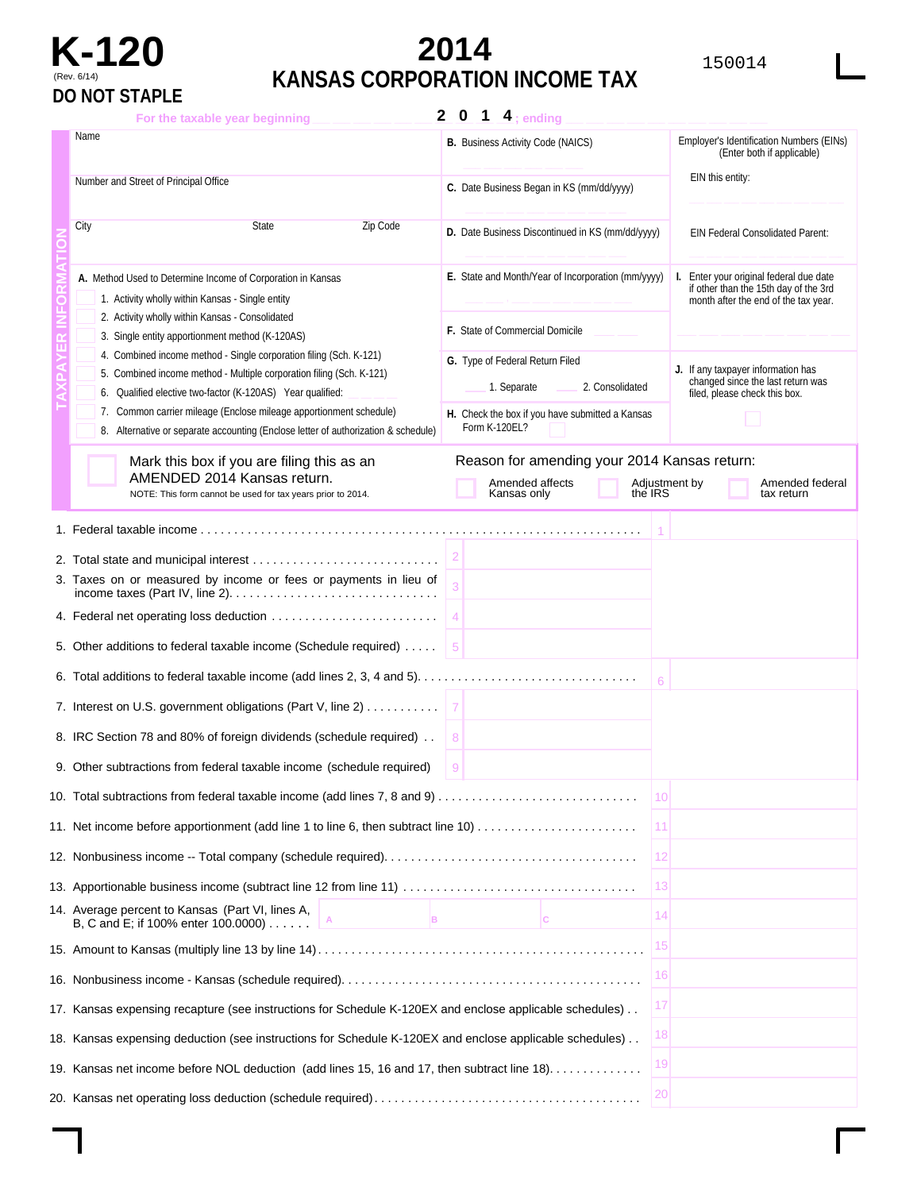

# **K-120 2014** <sup>150014</sup> (Rev. 6/14) **KANSAS CORPORATION INCOME TAX**

| $\mathbf{2}$<br>For the taxable year beginning                                                                                                                                                                                                                                                                                                                       | $\mathbf 0$<br>$\overline{1}$ $\overline{4}$ ; ending                                                                                 |                                                                                                                       |  |
|----------------------------------------------------------------------------------------------------------------------------------------------------------------------------------------------------------------------------------------------------------------------------------------------------------------------------------------------------------------------|---------------------------------------------------------------------------------------------------------------------------------------|-----------------------------------------------------------------------------------------------------------------------|--|
| Name                                                                                                                                                                                                                                                                                                                                                                 | <b>B.</b> Business Activity Code (NAICS)                                                                                              | Employer's Identification Numbers (EINs)<br>(Enter both if applicable)                                                |  |
| Number and Street of Principal Office                                                                                                                                                                                                                                                                                                                                | C. Date Business Began in KS (mm/dd/yyyy)                                                                                             | EIN this entity:                                                                                                      |  |
| City<br><b>State</b><br>Zip Code                                                                                                                                                                                                                                                                                                                                     | D. Date Business Discontinued in KS (mm/dd/yyyy)                                                                                      | EIN Federal Consolidated Parent:                                                                                      |  |
| A. Method Used to Determine Income of Corporation in Kansas<br>1. Activity wholly within Kansas - Single entity<br>2. Activity wholly within Kansas - Consolidated<br>3. Single entity apportionment method (K-120AS)                                                                                                                                                | E. State and Month/Year of Incorporation (mm/yyyy)<br>F. State of Commercial Domicile                                                 | Enter your original federal due date<br>if other than the 15th day of the 3rd<br>month after the end of the tax year. |  |
| 4. Combined income method - Single corporation filing (Sch. K-121)<br>5. Combined income method - Multiple corporation filing (Sch. K-121)<br>6. Qualified elective two-factor (K-120AS) Year qualified:<br>7. Common carrier mileage (Enclose mileage apportionment schedule)<br>8. Alternative or separate accounting (Enclose letter of authorization & schedule) | G. Type of Federal Return Filed<br>2. Consolidated<br>1. Separate<br>H. Check the box if you have submitted a Kansas<br>Form K-120EL? | J. If any taxpayer information has<br>changed since the last return was<br>filed, please check this box.              |  |
| Mark this box if you are filing this as an<br>AMENDED 2014 Kansas return.<br>NOTE: This form cannot be used for tax years prior to 2014.                                                                                                                                                                                                                             | Reason for amending your 2014 Kansas return:<br>Amended affects<br>the IRS<br>Kansas only                                             | Adjustment by<br>Amended federal<br>tax return                                                                        |  |
|                                                                                                                                                                                                                                                                                                                                                                      |                                                                                                                                       |                                                                                                                       |  |
|                                                                                                                                                                                                                                                                                                                                                                      |                                                                                                                                       |                                                                                                                       |  |
| 3. Taxes on or measured by income or fees or payments in lieu of                                                                                                                                                                                                                                                                                                     |                                                                                                                                       |                                                                                                                       |  |
| 4. Federal net operating loss deduction                                                                                                                                                                                                                                                                                                                              |                                                                                                                                       |                                                                                                                       |  |
| 5. Other additions to federal taxable income (Schedule required)                                                                                                                                                                                                                                                                                                     |                                                                                                                                       |                                                                                                                       |  |
|                                                                                                                                                                                                                                                                                                                                                                      |                                                                                                                                       | 6                                                                                                                     |  |
| 7. Interest on U.S. government obligations (Part V, line 2)                                                                                                                                                                                                                                                                                                          |                                                                                                                                       |                                                                                                                       |  |
| 8. IRC Section 78 and 80% of foreign dividends (schedule required).                                                                                                                                                                                                                                                                                                  | 8                                                                                                                                     |                                                                                                                       |  |
| 9. Other subtractions from federal taxable income (schedule required)                                                                                                                                                                                                                                                                                                | 9                                                                                                                                     |                                                                                                                       |  |
|                                                                                                                                                                                                                                                                                                                                                                      |                                                                                                                                       | 10                                                                                                                    |  |
| 11. Net income before apportionment (add line 1 to line 6, then subtract line 10)                                                                                                                                                                                                                                                                                    |                                                                                                                                       | 11                                                                                                                    |  |
|                                                                                                                                                                                                                                                                                                                                                                      |                                                                                                                                       | 12                                                                                                                    |  |
|                                                                                                                                                                                                                                                                                                                                                                      |                                                                                                                                       | 13                                                                                                                    |  |
| 14. Average percent to Kansas (Part VI, lines A,<br>B.<br>B, C and E; if 100% enter 100.0000)                                                                                                                                                                                                                                                                        | IC.                                                                                                                                   | -14                                                                                                                   |  |
|                                                                                                                                                                                                                                                                                                                                                                      |                                                                                                                                       | 15                                                                                                                    |  |
|                                                                                                                                                                                                                                                                                                                                                                      |                                                                                                                                       | 16                                                                                                                    |  |
| 17. Kansas expensing recapture (see instructions for Schedule K-120EX and enclose applicable schedules)                                                                                                                                                                                                                                                              |                                                                                                                                       | 17                                                                                                                    |  |
| 18. Kansas expensing deduction (see instructions for Schedule K-120EX and enclose applicable schedules)                                                                                                                                                                                                                                                              |                                                                                                                                       | 18                                                                                                                    |  |
| 19. Kansas net income before NOL deduction (add lines 15, 16 and 17, then subtract line 18).                                                                                                                                                                                                                                                                         |                                                                                                                                       | 19                                                                                                                    |  |
|                                                                                                                                                                                                                                                                                                                                                                      |                                                                                                                                       | 20                                                                                                                    |  |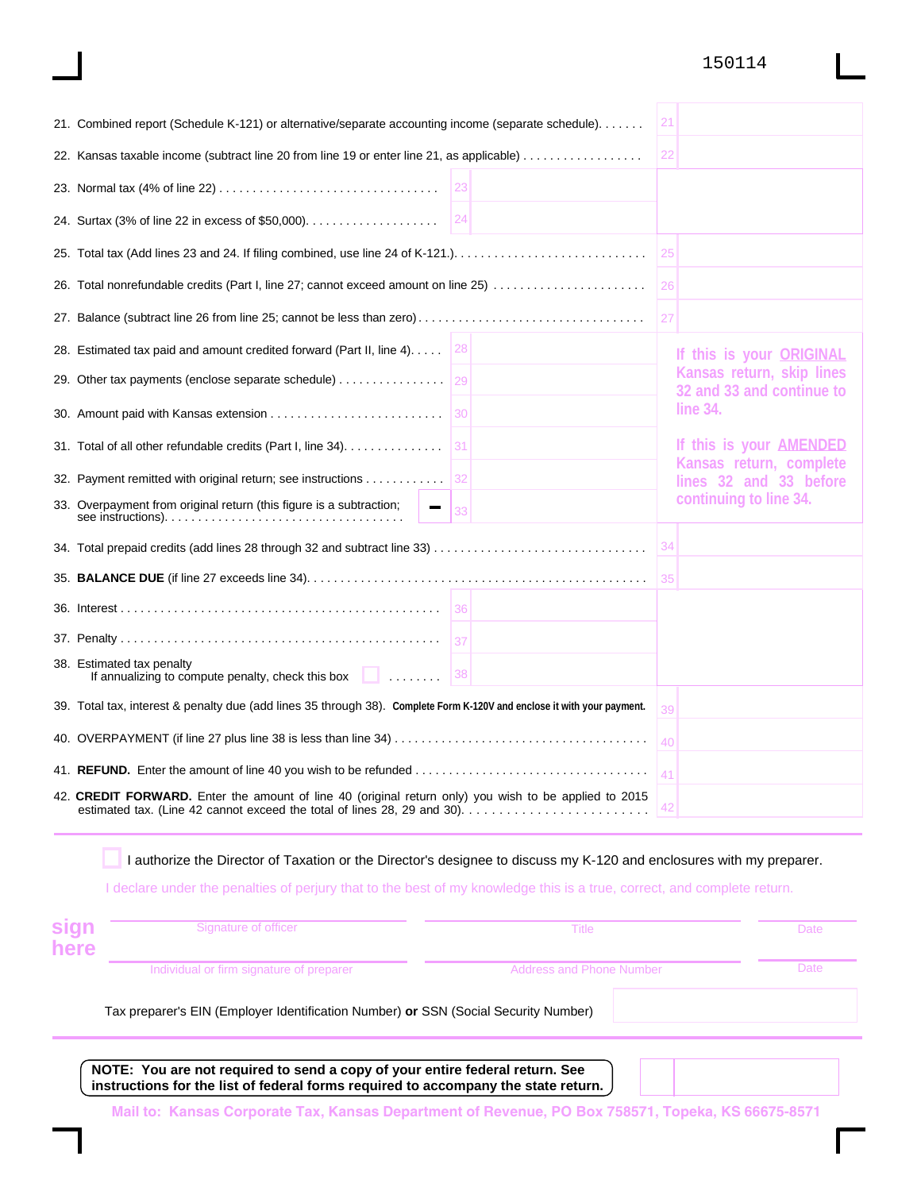#### 150114

| 21. Combined report (Schedule K-121) or alternative/separate accounting income (separate schedule).                     | 21                                                     |
|-------------------------------------------------------------------------------------------------------------------------|--------------------------------------------------------|
| 22. Kansas taxable income (subtract line 20 from line 19 or enter line 21, as applicable)                               | 22                                                     |
| 23                                                                                                                      |                                                        |
| 24<br>24. Surtax (3% of line 22 in excess of \$50,000)                                                                  |                                                        |
|                                                                                                                         | 25                                                     |
| 26. Total nonrefundable credits (Part I, line 27; cannot exceed amount on line 25)                                      | 26                                                     |
| 27. Balance (subtract line 26 from line 25; cannot be less than zero)                                                   | 27                                                     |
| 28. Estimated tax paid and amount credited forward (Part II, line 4).<br> 28                                            | If this is your <b>ORIGINAL</b>                        |
| 29. Other tax payments (enclose separate schedule)                                                                      | Kansas return, skip lines<br>32 and 33 and continue to |
|                                                                                                                         | line 34.                                               |
| 31. Total of all other refundable credits (Part I, line $34)$ 31                                                        | If this is your AMENDED                                |
| 32. Payment remitted with original return; see instructions<br> 32                                                      | Kansas return, complete<br>lines 32 and 33 before      |
| 33. Overpayment from original return (this figure is a subtraction;<br>33                                               | continuing to line 34.                                 |
|                                                                                                                         | 34                                                     |
|                                                                                                                         | 35                                                     |
| 36                                                                                                                      |                                                        |
| 37                                                                                                                      |                                                        |
| 38. Estimated tax penalty<br> 38                                                                                        |                                                        |
| 39. Total tax, interest & penalty due (add lines 35 through 38). Complete Form K-120V and enclose it with your payment. | 39                                                     |
|                                                                                                                         | 40                                                     |
|                                                                                                                         | 41                                                     |
| 42. CREDIT FORWARD. Enter the amount of line 40 (original return only) you wish to be applied to 2015                   |                                                        |

I authorize the Director of Taxation or the Director's designee to discuss my K-120 and enclosures with my preparer.

I declare under the penalties of perjury that to the best of my knowledge this is a true, correct, and complete return.

| sign<br>here | Signature of officer                                                                | Title | Date |  |
|--------------|-------------------------------------------------------------------------------------|-------|------|--|
|              | Individual or firm signature of preparer<br>Address and Phone Number                |       | Date |  |
|              | Tax preparer's EIN (Employer Identification Number) or SSN (Social Security Number) |       |      |  |

**NOTE: You are not required to send a copy of your entire federal return. See instructions for the list of federal forms required to accompany the state return.** 

**Mail to: Kansas Corporate Tax, Kansas Department of Revenue, PO Box 758571, Topeka, KS 66675-8571**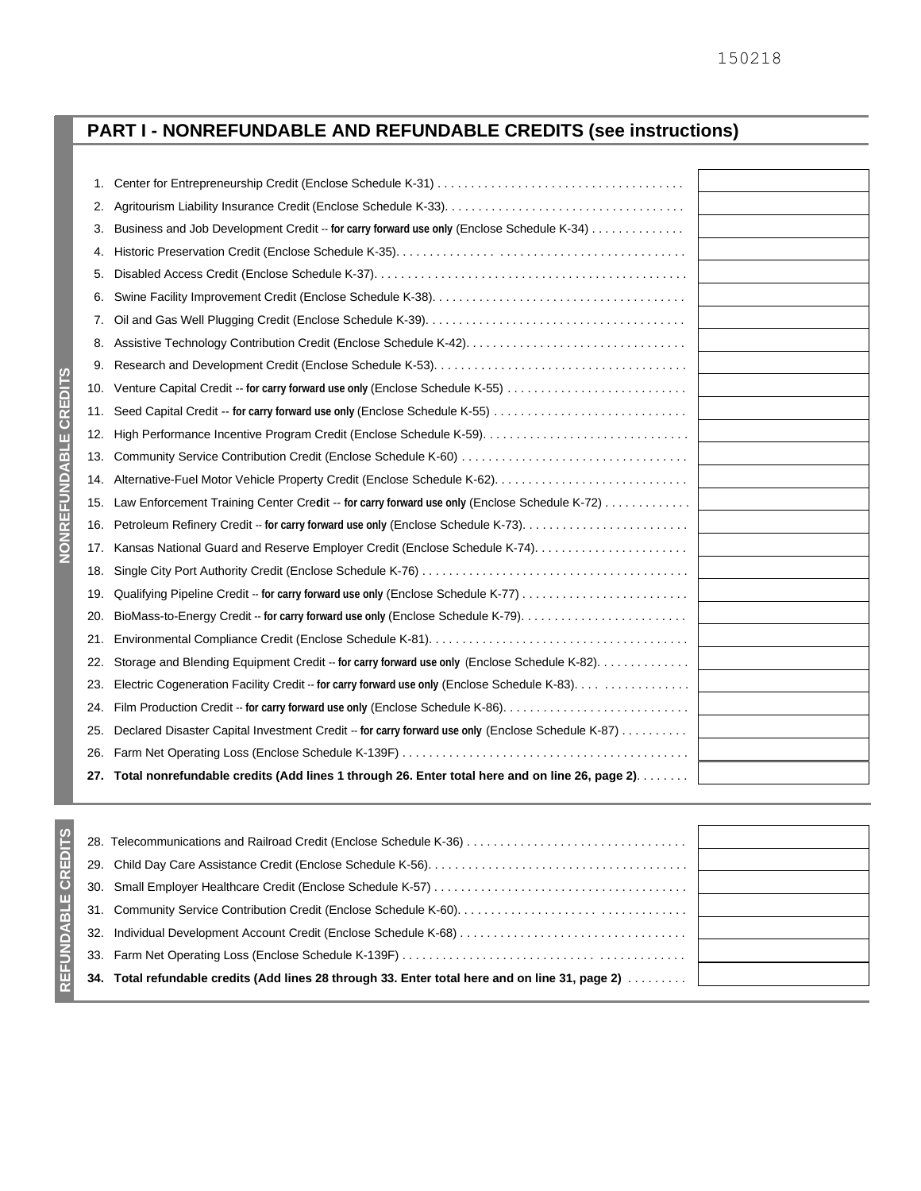# **PART I - NONREFUNDABLE AND REFUNDABLE CREDITS (see instructions)**

| 1.  |                                                                                                   |
|-----|---------------------------------------------------------------------------------------------------|
| 2.  |                                                                                                   |
| 3.  | Business and Job Development Credit -- for carry forward use only (Enclose Schedule K-34)         |
| 4.  |                                                                                                   |
| 5.  |                                                                                                   |
| 6.  |                                                                                                   |
| 7.  |                                                                                                   |
| 8.  |                                                                                                   |
| 9.  |                                                                                                   |
| 10. |                                                                                                   |
| 11. |                                                                                                   |
| 12. |                                                                                                   |
| 13. |                                                                                                   |
| 14. |                                                                                                   |
| 15. | Law Enforcement Training Center Credit -- for carry forward use only (Enclose Schedule K-72)      |
| 16. |                                                                                                   |
| 17. | Kansas National Guard and Reserve Employer Credit (Enclose Schedule K-74).                        |
| 18. |                                                                                                   |
| 19. |                                                                                                   |
| 20. |                                                                                                   |
| 21. |                                                                                                   |
| 22. | Storage and Blending Equipment Credit -- for carry forward use only (Enclose Schedule K-82).      |
| 23. | Electric Cogeneration Facility Credit -- for carry forward use only (Enclose Schedule K-83).      |
| 24. |                                                                                                   |
| 25. | Declared Disaster Capital Investment Credit -- for carry forward use only (Enclose Schedule K-87) |
| 26. |                                                                                                   |
| 27. | Total nonrefundable credits (Add lines 1 through 26. Enter total here and on line 26, page 2).    |

|     | 28. Telecommunications and Railroad Credit (Enclose Schedule K-36)                                 |
|-----|----------------------------------------------------------------------------------------------------|
|     |                                                                                                    |
| 30. |                                                                                                    |
|     |                                                                                                    |
| 32. |                                                                                                    |
| 33. |                                                                                                    |
| 34. | Total refundable credits (Add lines 28 through 33. Enter total here and on line 31, page 2) masses |
|     |                                                                                                    |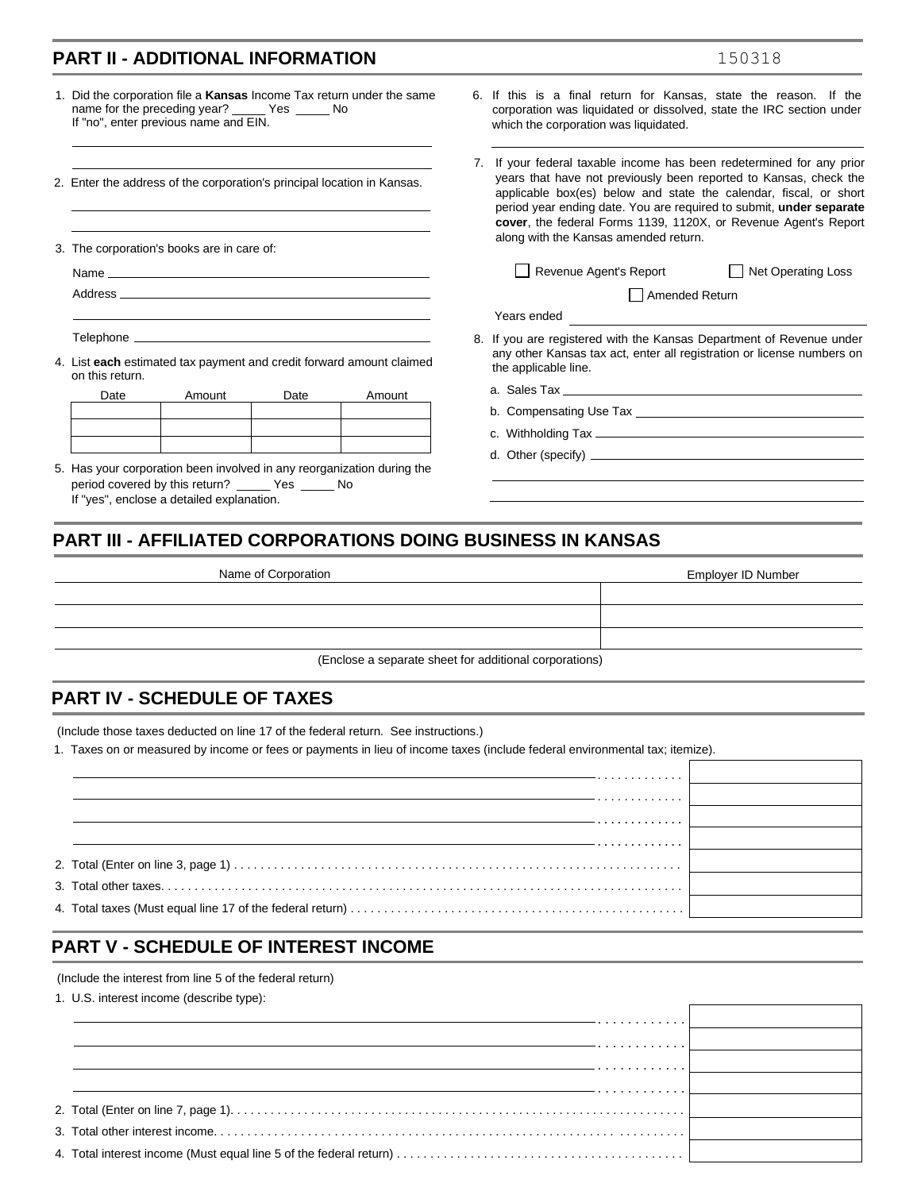|                                                                                                                                                                                                                                | <b>PART II - ADDITIONAL INFORMATION</b>                                                                                                                                  |      |                                                                       |    | 150318                                                                                                                                                                                                                                                                                                                                                 |  |  |
|--------------------------------------------------------------------------------------------------------------------------------------------------------------------------------------------------------------------------------|--------------------------------------------------------------------------------------------------------------------------------------------------------------------------|------|-----------------------------------------------------------------------|----|--------------------------------------------------------------------------------------------------------------------------------------------------------------------------------------------------------------------------------------------------------------------------------------------------------------------------------------------------------|--|--|
|                                                                                                                                                                                                                                | name for the preceding year? ______ Yes ______ No<br>If "no", enter previous name and EIN.                                                                               |      | 1. Did the corporation file a Kansas Income Tax return under the same |    | 6. If this is a final return for Kansas, state the reason. If the<br>corporation was liquidated or dissolved, state the IRC section under<br>which the corporation was liquidated.                                                                                                                                                                     |  |  |
|                                                                                                                                                                                                                                | 2. Enter the address of the corporation's principal location in Kansas.                                                                                                  |      |                                                                       | 7. | If your federal taxable income has been redetermined for any prior<br>years that have not previously been reported to Kansas, check the<br>applicable box(es) below and state the calendar, fiscal, or short<br>period year ending date. You are required to submit, under separate<br>cover, the federal Forms 1139, 1120X, or Revenue Agent's Report |  |  |
|                                                                                                                                                                                                                                | 3. The corporation's books are in care of:                                                                                                                               |      |                                                                       |    | along with the Kansas amended return.                                                                                                                                                                                                                                                                                                                  |  |  |
| Name experience and the second contract of the second contract of the second contract of the second contract of the second contract of the second contract of the second contract of the second contract of the second contrac |                                                                                                                                                                          |      |                                                                       |    | Revenue Agent's Report<br><b>Net Operating Loss</b>                                                                                                                                                                                                                                                                                                    |  |  |
|                                                                                                                                                                                                                                |                                                                                                                                                                          |      |                                                                       |    | Amended Return                                                                                                                                                                                                                                                                                                                                         |  |  |
|                                                                                                                                                                                                                                |                                                                                                                                                                          |      |                                                                       |    | Years ended                                                                                                                                                                                                                                                                                                                                            |  |  |
| on this return.                                                                                                                                                                                                                | 4. List each estimated tax payment and credit forward amount claimed                                                                                                     |      |                                                                       |    | 8. If you are registered with the Kansas Department of Revenue under<br>any other Kansas tax act, enter all registration or license numbers on<br>the applicable line.                                                                                                                                                                                 |  |  |
| Date                                                                                                                                                                                                                           | Amount                                                                                                                                                                   | Date | Amount                                                                |    |                                                                                                                                                                                                                                                                                                                                                        |  |  |
|                                                                                                                                                                                                                                |                                                                                                                                                                          |      |                                                                       |    |                                                                                                                                                                                                                                                                                                                                                        |  |  |
|                                                                                                                                                                                                                                |                                                                                                                                                                          |      |                                                                       |    |                                                                                                                                                                                                                                                                                                                                                        |  |  |
|                                                                                                                                                                                                                                |                                                                                                                                                                          |      |                                                                       |    |                                                                                                                                                                                                                                                                                                                                                        |  |  |
|                                                                                                                                                                                                                                | 5. Has your corporation been involved in any reorganization during the<br>period covered by this return? _____ Yes _____ No<br>If "yes", enclose a detailed explanation. |      |                                                                       |    | the control of the control of the control of the control of the control of                                                                                                                                                                                                                                                                             |  |  |

| Name of Corporation                                    | Employer ID Number |  |  |  |
|--------------------------------------------------------|--------------------|--|--|--|
|                                                        |                    |  |  |  |
|                                                        |                    |  |  |  |
|                                                        |                    |  |  |  |
| (Enclose a separate sheet for additional corporations) |                    |  |  |  |

#### **PART IV - SCHEDULE OF TAXES**

(Include those taxes deducted on line 17 of the federal return. See instructions.)

1. Taxes on or measured by income or fees or payments in lieu of income taxes (include federal environmental tax; itemize).

| . |  |
|---|--|
| . |  |
|   |  |
|   |  |
|   |  |
|   |  |

## **PART V - SCHEDULE OF INTEREST INCOME**

(Include the interest from line 5 of the federal return)

1. U.S. interest income (describe type):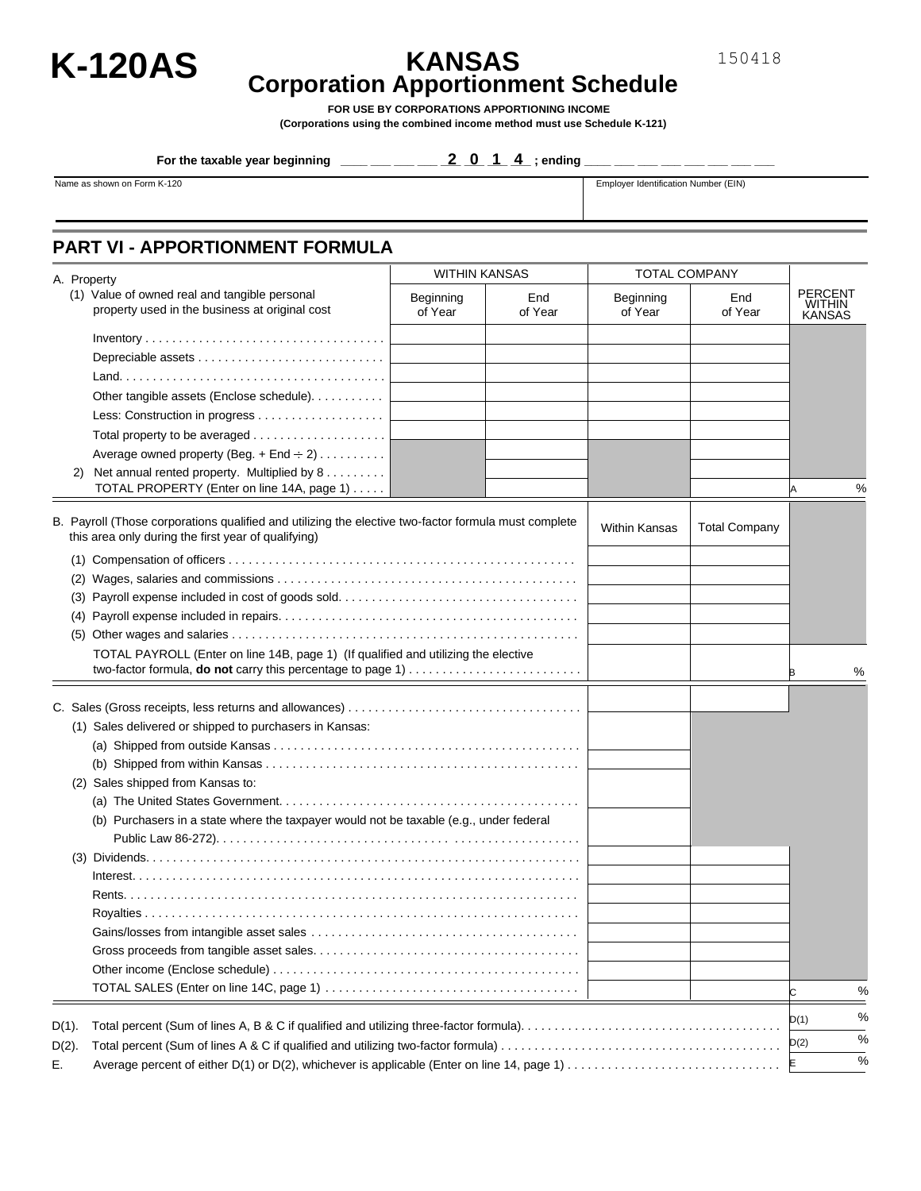

# **K-120AS KANSAS Corporation Apportionment Schedule**

150418

**FOR USE BY CORPORATIONS APPORTIONING INCOME (Corporations using the combined income method must use Schedule K-121)** 

**For the taxable year beginning \_\_\_\_ \_\_\_ \_\_\_ \_\_\_ \_\_\_ \_\_\_ \_\_\_ \_\_\_ ; ending \_\_\_\_ \_\_ 2014 \_ \_\_\_ \_\_\_ \_\_\_ \_\_\_ \_\_\_ \_\_\_**

Name as shown on Form K-120 **Employer Identification Number (EIN)** Employer Identification Number (EIN)

### **PART VI - APPORTIONMENT FORMULA**

|          | A. Property                                                                                                                                                 | <b>WITHIN KANSAS</b> |                | <b>TOTAL COMPANY</b> |                      |                                                  |               |
|----------|-------------------------------------------------------------------------------------------------------------------------------------------------------------|----------------------|----------------|----------------------|----------------------|--------------------------------------------------|---------------|
|          | (1) Value of owned real and tangible personal<br>property used in the business at original cost                                                             | Beginning<br>of Year | End<br>of Year | Beginning<br>of Year | End<br>of Year       | <b>PERCENT</b><br><b>WITHIN</b><br><b>KANSAS</b> |               |
|          |                                                                                                                                                             |                      |                |                      |                      |                                                  |               |
|          |                                                                                                                                                             |                      |                |                      |                      |                                                  |               |
|          |                                                                                                                                                             |                      |                |                      |                      |                                                  |               |
|          |                                                                                                                                                             |                      |                |                      |                      |                                                  |               |
|          | Other tangible assets (Enclose schedule).                                                                                                                   |                      |                |                      |                      |                                                  |               |
|          |                                                                                                                                                             |                      |                |                      |                      |                                                  |               |
|          |                                                                                                                                                             |                      |                |                      |                      |                                                  |               |
|          | Average owned property (Beg. + End $\div$ 2)                                                                                                                |                      |                |                      |                      |                                                  |               |
|          | 2) Net annual rented property. Multiplied by 8<br>TOTAL PROPERTY (Enter on line 14A, page 1)                                                                |                      |                |                      |                      | A                                                | %             |
|          |                                                                                                                                                             |                      |                |                      |                      |                                                  |               |
|          | B. Payroll (Those corporations qualified and utilizing the elective two-factor formula must complete<br>this area only during the first year of qualifying) |                      |                | <b>Within Kansas</b> | <b>Total Company</b> |                                                  |               |
|          |                                                                                                                                                             |                      |                |                      |                      |                                                  |               |
|          |                                                                                                                                                             |                      |                |                      |                      |                                                  |               |
|          |                                                                                                                                                             |                      |                |                      |                      |                                                  |               |
|          |                                                                                                                                                             |                      |                |                      |                      |                                                  |               |
|          |                                                                                                                                                             |                      |                |                      |                      |                                                  |               |
|          | TOTAL PAYROLL (Enter on line 14B, page 1) (If qualified and utilizing the elective                                                                          |                      |                |                      |                      |                                                  | %             |
|          |                                                                                                                                                             |                      |                |                      |                      |                                                  |               |
|          |                                                                                                                                                             |                      |                |                      |                      |                                                  |               |
|          | (1) Sales delivered or shipped to purchasers in Kansas:                                                                                                     |                      |                |                      |                      |                                                  |               |
|          |                                                                                                                                                             |                      |                |                      |                      |                                                  |               |
|          |                                                                                                                                                             |                      |                |                      |                      |                                                  |               |
|          | (2) Sales shipped from Kansas to:                                                                                                                           |                      |                |                      |                      |                                                  |               |
|          |                                                                                                                                                             |                      |                |                      |                      |                                                  |               |
|          | (b) Purchasers in a state where the taxpayer would not be taxable (e.g., under federal                                                                      |                      |                |                      |                      |                                                  |               |
|          |                                                                                                                                                             |                      |                |                      |                      |                                                  |               |
|          |                                                                                                                                                             |                      |                |                      |                      |                                                  |               |
|          |                                                                                                                                                             |                      |                |                      |                      |                                                  |               |
|          |                                                                                                                                                             |                      |                |                      |                      |                                                  |               |
|          |                                                                                                                                                             |                      |                |                      |                      |                                                  |               |
|          |                                                                                                                                                             |                      |                |                      |                      |                                                  |               |
|          |                                                                                                                                                             |                      |                |                      |                      |                                                  |               |
|          |                                                                                                                                                             |                      |                |                      |                      |                                                  |               |
|          |                                                                                                                                                             |                      |                |                      |                      | C                                                | %             |
|          |                                                                                                                                                             |                      |                |                      |                      |                                                  | $\%$          |
| $D(1)$ . |                                                                                                                                                             |                      |                |                      |                      | D(1)                                             |               |
| $D(2)$ . |                                                                                                                                                             |                      |                |                      |                      | D(2)                                             | $\frac{0}{6}$ |
| Е.       | Average percent of either D(1) or D(2), whichever is applicable (Enter on line 14, page 1)                                                                  |                      |                |                      |                      | E                                                | $\frac{0}{6}$ |